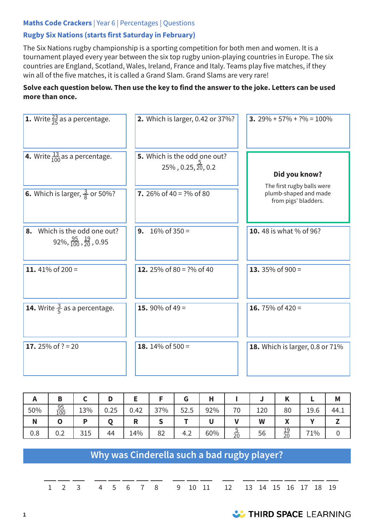### **Maths Code Crackers** | Year 6 | Percentages | Questions

### **Rugby Six Nations (starts first Saturday in February)**

The Six Nations rugby championship is a sporting competition for both men and women. It is a tournament played every year between the six top rugby union-playing countries in Europe. The six countries are England, Scotland, Wales, Ireland, France and Italy. Teams play five matches, if they win all of the five matches, it is called a Grand Slam. Grand Slams are very rare!

#### **Solve each question below. Then use the key to find the answer to the joke. Letters can be used more than once.**

| <b>1.</b> Write $\frac{23}{25}$ as a percentage.                            | 2. Which is larger, 0.42 or 37%?                                    | 3. $29\% + 57\% + ?\% = 100\%$                |
|-----------------------------------------------------------------------------|---------------------------------------------------------------------|-----------------------------------------------|
| 4. Write $\frac{13}{100}$ as a percentage.                                  | 5. Which is the odd one out?<br>$25\%$ , 0.25, $\frac{3}{20}$ , 0.2 | Did you know?<br>The first rugby balls were   |
| <b>6.</b> Which is larger, $\frac{3}{8}$ or 50%?                            | 7. 26% of 40 = $?$ % of 80                                          | plumb-shaped and made<br>from pigs' bladders. |
| 8. Which is the odd one out?<br>$92\%, \frac{95}{100}, \frac{19}{20}, 0.95$ | $16\%$ of 350 =<br>9.                                               | 10.48 is what % of 96?                        |
| 11. 41% of 200 =                                                            | 12. 25% of 80 = $?$ % of 40                                         | 13. 35% of $900 =$                            |
| <b>14.</b> Write $\frac{3}{5}$ as a percentage.                             | 15. 90% of 49 =                                                     | 16. 75% of 420 =                              |
| 17. 25% of $? = 20$                                                         | 18. 14% of $500 =$                                                  | 18. Which is larger, 0.8 or 71%               |

|     | Β         |                | D    |        |     | u             |     |                | u   | n               | -    | M    |
|-----|-----------|----------------|------|--------|-----|---------------|-----|----------------|-----|-----------------|------|------|
| 50% | 95<br>100 | 13%            | 0.25 | 0.42   | 37% | 52.5          | 92% | 70             | 120 | 80              | 19.6 | 44.1 |
| N   |           | в              |      | D<br>в |     |               |     |                | W   | Λ               |      |      |
| 0.8 | 0.2       | 片<br>21<br>ن⊥ت | 44   | 14%    | 82  | $\sim$<br>4.2 | 60% | <u>ب</u><br>20 | 56  | $\frac{19}{20}$ | 71%  |      |

# **Why was Cinderella such a bad rugby player?**

1 2 3 4 5 6 7 8 9 10 11 12 13 14 15 16 17 18 19